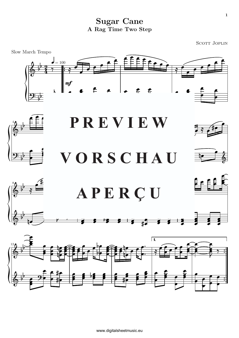**Sugar Cane** A Rag Time Two Step

**SCOTT JOPLIN** 

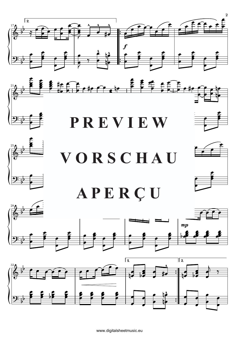





## VORSCHAU APERÇU





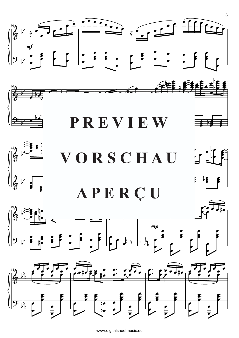





VORSCHAU







www.digitalsheetmusic.eu